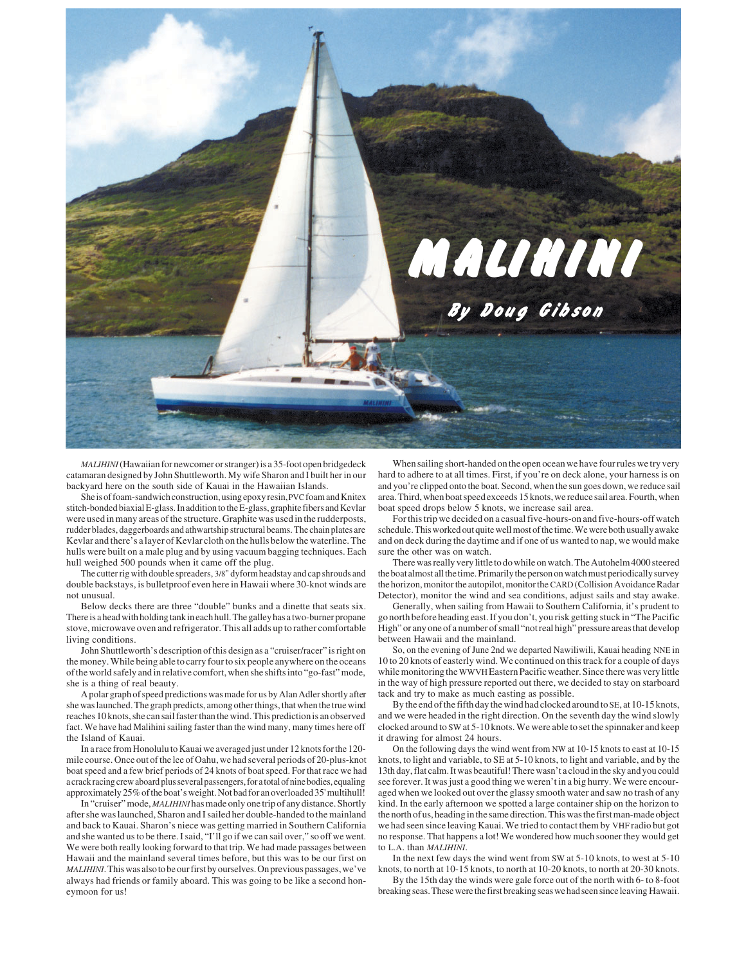

*MALIHINI*(Hawaiian for newcomer or stranger) is a 35-foot open bridgedeck catamaran designed by John Shuttleworth. My wife Sharon and I built her in our backyard here on the south side of Kauai in the Hawaiian Islands.

She is of foam-sandwich construction, using epoxy resin, PVC foam and Knitex stitch-bonded biaxial E-glass. In addition to the E-glass, graphite fibers and Kevlar were used in many areas of the structure. Graphite was used in the rudderposts, rudder blades, daggerboards and athwartship structural beams. The chain plates are Kevlar and there's a layer of Kevlar cloth on the hulls below the waterline. The hulls were built on a male plug and by using vacuum bagging techniques. Each hull weighed 500 pounds when it came off the plug.

The cutter rig with double spreaders, 3/8" dyform headstay and cap shrouds and double backstays, is bulletproof even here in Hawaii where 30-knot winds are not unusual.

Below decks there are three "double" bunks and a dinette that seats six. There is a head with holding tank in each hull. The galley has a two-burner propane stove, microwave oven and refrigerator. This all adds up to rather comfortable living conditions.

John Shuttleworth's description of this design as a "cruiser/racer" is right on the money. While being able to carry four to six people anywhere on the oceans of the world safely and in relative comfort, when she shifts into "go-fast" mode, she is a thing of real beauty.

A polar graph of speed predictions was made for us by Alan Adler shortly after she was launched. The graph predicts, among other things, that when the true wind reaches 10 knots, she can sail faster than the wind. This prediction is an observed fact. We have had Malihini sailing faster than the wind many, many times here off the Island of Kauai.

In a race from Honolulu to Kauai we averaged just under 12 knots for the 120 mile course. Once out of the lee of Oahu, we had several periods of 20-plus-knot boat speed and a few brief periods of 24 knots of boat speed. For that race we had a crack racing crew aboard plus several passengers, for a total of nine bodies, equaling approximately 25% of the boat's weight. Not bad for an overloaded 35' multihull!

In "cruiser" mode, *MALIHINI* has made only one trip of any distance. Shortly after she was launched, Sharon and I sailed her double-handed to the mainland and back to Kauai. Sharon's niece was getting married in Southern California and she wanted us to be there. I said, "I'll go if we can sail over," so off we went. We were both really looking forward to that trip. We had made passages between Hawaii and the mainland several times before, but this was to be our first on *MALIHINI*. This was also to be our first by ourselves. On previous passages, we've always had friends or family aboard. This was going to be like a second honeymoon for us!

When sailing short-handed on the open ocean we have four rules we try very hard to adhere to at all times. First, if you're on deck alone, your harness is on and you're clipped onto the boat. Second, when the sun goes down, we reduce sail area. Third, when boat speed exceeds 15 knots, we reduce sail area. Fourth, when boat speed drops below 5 knots, we increase sail area.

For this trip we decided on a casual five-hours-on and five-hours-off watch schedule. This worked out quite well most of the time. We were both usually awake and on deck during the daytime and if one of us wanted to nap, we would make sure the other was on watch.

There was really very little to do while on watch. The Autohelm 4000 steered the boat almost all the time. Primarily the person on watch must periodically survey the horizon, monitor the autopilot, monitor the CARD (Collision Avoidance Radar Detector), monitor the wind and sea conditions, adjust sails and stay awake.

Generally, when sailing from Hawaii to Southern California, it's prudent to go north before heading east. If you don't, you risk getting stuck in "The Pacific High" or any one of a number of small "not real high" pressure areas that develop between Hawaii and the mainland.

So, on the evening of June 2nd we departed Nawiliwili, Kauai heading NNE in 10 to 20 knots of easterly wind. We continued on this track for a couple of days while monitoring the WWVHEastern Pacific weather. Since there was very little in the way of high pressure reported out there, we decided to stay on starboard tack and try to make as much easting as possible.

By the end of the fifth day the wind had clocked around to SE, at 10-15 knots, and we were headed in the right direction. On the seventh day the wind slowly clocked around to SW at 5-10 knots. We were able to set the spinnaker and keep it drawing for almost 24 hours.

On the following days the wind went from NW at 10-15 knots to east at 10-15 knots, to light and variable, to SE at 5-10 knots, to light and variable, and by the 13th day, flat calm. It was beautiful! There wasn't a cloud in the sky and you could see forever. It was just a good thing we weren't in a big hurry. We were encouraged when we looked out over the glassy smooth water and saw no trash of any kind. In the early afternoon we spotted a large container ship on the horizon to the north of us, heading in the same direction. This was the first man-made object we had seen since leaving Kauai. We tried to contact them by VHF radio but got no response. That happens a lot! We wondered how much sooner they would get to L.A. than *MALIHINI*.

In the next few days the wind went from SW at 5-10 knots, to west at 5-10 knots, to north at 10-15 knots, to north at 10-20 knots, to north at 20-30 knots.

By the 15th day the winds were gale force out of the north with 6- to 8-foot breaking seas. These were the first breaking seas we had seen since leaving Hawaii.